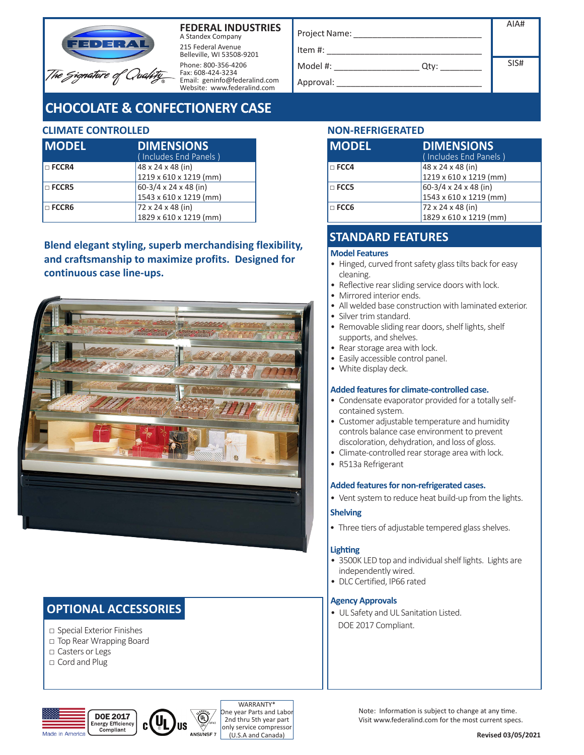



215 Federal Avenue Belleville, WI 53508-9201 Phone: 800-356-4206 Fax: 608-424-3234 Email: geninfo@federalind.com Website: www.federalind.com

# **CHOCOLATE & CONFECTIONERY CASE**

### **CLIMATE CONTROLLED NON-REFRIGERATED**

| <b>IMODEL</b> | <b>DIMENSIONS</b><br>(Includes End Panels) |
|---------------|--------------------------------------------|
| I□ FCCR4      | 48 x 24 x 48 (in)                          |
|               | 1219 x 610 x 1219 (mm)                     |
| $\Box$ FCCR5  | 60-3/4 x 24 x 48 (in)                      |
|               | 1543 x 610 x 1219 (mm)                     |
| $\Box$ FCCR6  | 72 x 24 x 48 (in)                          |
|               | 1829 x 610 x 1219 (mm)                     |

**Blend elegant styling, superb merchandising flexibility, and craftsmanship to maximize profits. Designed for continuous case line-ups.**



## **OPTIONAL ACCESSORIES**

- □ Special Exterior Finishes
- □ Top Rear Wrapping Board
- □ Casters or Legs
- □ Cord and Plug

|                  | AIA# |
|------------------|------|
| Project Name:    |      |
| Item #:          |      |
| Model #:<br>Qty: | SIS# |
| Approval:        |      |
|                  |      |

| <b>IMODEL</b> | <b>DIMENSIONS</b><br>(Includes End Panels) |
|---------------|--------------------------------------------|
| $\Box$ FCC4   | 48 x 24 x 48 (in)                          |
|               | 1219 x 610 x 1219 (mm)                     |
| $\Box$ FCC5   | $60-3/4 \times 24 \times 48$ (in)          |
|               | 1543 x 610 x 1219 (mm)                     |
| $\Box$ FCC6   | 72 x 24 x 48 (in)                          |
|               | 1829 x 610 x 1219 (mm)                     |

## **STANDARD FEATURES**

#### **Model Features**

- Hinged, curved front safety glass tilts back for easy cleaning.
- Reflective rear sliding service doors with lock.
- Mirrored interior ends.
- All welded base construction with laminated exterior.
- Silver trim standard.
- Removable sliding rear doors, shelf lights, shelf supports, and shelves.
- Rear storage area with lock.
- Easily accessible control panel.
- White display deck.

#### **Added features for climate-controlled case.**

- Condensate evaporator provided for a totally selfcontained system.
- Customer adjustable temperature and humidity controls balance case environment to prevent discoloration, dehydration, and loss of gloss.
- Climate-controlled rear storage area with lock.
- R513a Refrigerant

#### **Added features for non-refrigerated cases.**

• Vent system to reduce heat build-up from the lights.

#### **Shelving**

• Three tiers of adjustable tempered glass shelves.

#### **Lighting**

- 3500K LED top and individual shelf lights. Lights are independently wired.
- DLC Certified, IP66 rated

#### **Agency Approvals**

• UL Safety and UL Sanitation Listed. DOE 2017 Compliant.



WARRANTY\* **ne year Parts and Labor** 2nd thru 5th year part only service compressor (U.S.A and Canada)

Note: Information is subject to change at any time. Visit www.federalind.com for the most current specs.